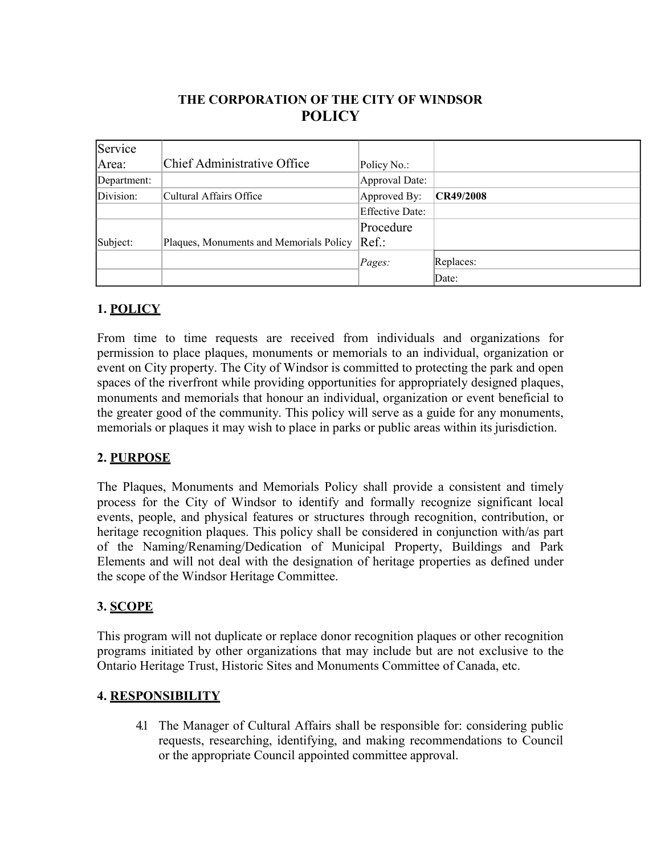# **THE CORPORATION OF THE CITY OF WINDSOR POLICY**

| Service     |                                         |                        |           |
|-------------|-----------------------------------------|------------------------|-----------|
| Area:       | Chief Administrative Office             | Policy No.:            |           |
| Department: |                                         | Approval Date:         |           |
| Division:   | Cultural Affairs Office                 | Approved By:           | CR49/2008 |
|             |                                         | <b>Effective Date:</b> |           |
|             |                                         | Procedure              |           |
| Subject:    | Plaques, Monuments and Memorials Policy | $Ref.$ :               |           |
|             |                                         | Pages:                 | Replaces: |
|             |                                         |                        | Date:     |

## **1. POLICY**

From time to time requests are received from individuals and organizations for permission to place plaques, monuments or memorials to an individual, organization or event on City property. The City of Windsor is committed to protecting the park and open spaces of the riverfront while providing opportunities for appropriately designed plaques, monuments and memorials that honour an individual, organization or event beneficial to the greater good of the community. This policy will serve as a guide for any monuments, memorials or plaques it may wish to place in parks or public areas within its jurisdiction.

### **2. PURPOSE**

The Plaques, Monuments and Memorials Policy shall provide a consistent and timely process for the City of Windsor to identify and formally recognize significant local events, people, and physical features or structures through recognition, contribution, or heritage recognition plaques. This policy shall be considered in conjunction with/as part of the Naming/Renaming/Dedication of Municipal Property, Buildings and Park Elements and will not deal with the designation of heritage properties as defined under the scope of the Windsor Heritage Committee.

### **3. SCOPE**

This program will not duplicate or replace donor recognition plaques or other recognition programs initiated by other organizations that may include but are not exclusive to the Ontario Heritage Trust, Historic Sites and Monuments Committee of Canada, etc.

### **4. RESPONSIBILITY**

4.1 The Manager of Cultural Affairs shall be responsible for: considering public requests, researching, identifying, and making recommendations to Council or the appropriate Council appointed committee approval.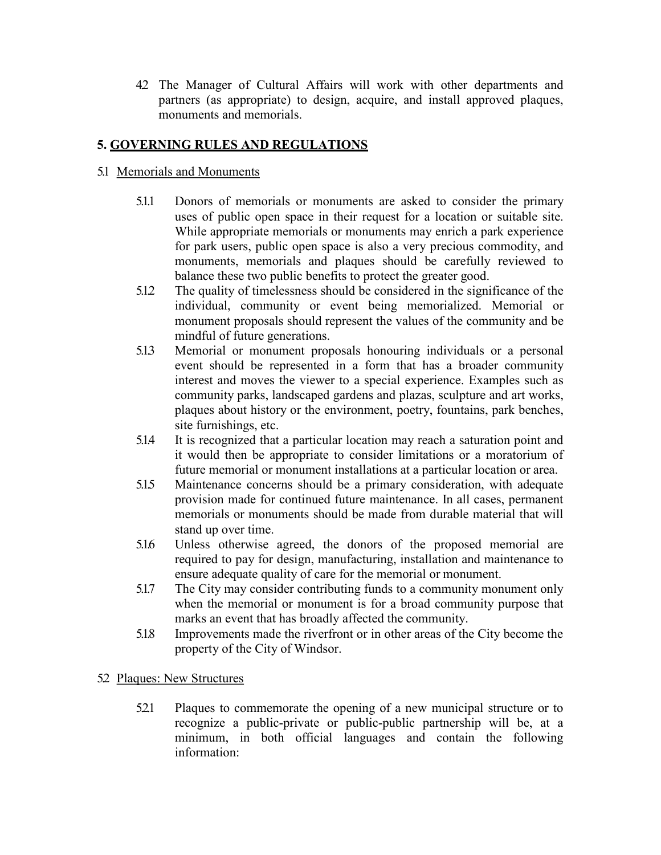4.2 The Manager of Cultural Affairs will work with other departments and partners (as appropriate) to design, acquire, and install approved plaques, monuments and memorials.

## **5. GOVERNING RULES AND REGULATIONS**

#### 5.1 Memorials and Monuments

- 5.1.1 Donors of memorials or monuments are asked to consider the primary uses of public open space in their request for a location or suitable site. While appropriate memorials or monuments may enrich a park experience for park users, public open space is also a very precious commodity, and monuments, memorials and plaques should be carefully reviewed to balance these two public benefits to protect the greater good.
- 5.1.2 The quality of timelessness should be considered in the significance of the individual, community or event being memorialized. Memorial or monument proposals should represent the values of the community and be mindful of future generations.
- 5.13 Memorial or monument proposals honouring individuals or a personal event should be represented in a form that has a broader community interest and moves the viewer to a special experience. Examples such as community parks, landscaped gardens and plazas, sculpture and art works, plaques about history or the environment, poetry, fountains, park benches, site furnishings, etc.
- 5.1.4 It is recognized that a particular location may reach a saturation point and it would then be appropriate to consider limitations or a moratorium of future memorial or monument installations at a particular location or area.
- 5.1.5 Maintenance concerns should be a primary consideration, with adequate provision made for continued future maintenance. In all cases, permanent memorials or monuments should be made from durable material that will stand up over time.
- 5.1.6 Unless otherwise agreed, the donors of the proposed memorial are required to pay for design, manufacturing, installation and maintenance to ensure adequate quality of care for the memorial or monument.
- 5.1.7 The City may consider contributing funds to a community monument only when the memorial or monument is for a broad community purpose that marks an event that has broadly affected the community.
- 5.1.8 Improvements made the riverfront or in other areas of the City become the property of the City of Windsor.

#### 52 Plaques: New Structures

5.2.1 Plaques to commemorate the opening of a new municipal structure or to recognize a public-private or public-public partnership will be, at a minimum, in both official languages and contain the following information: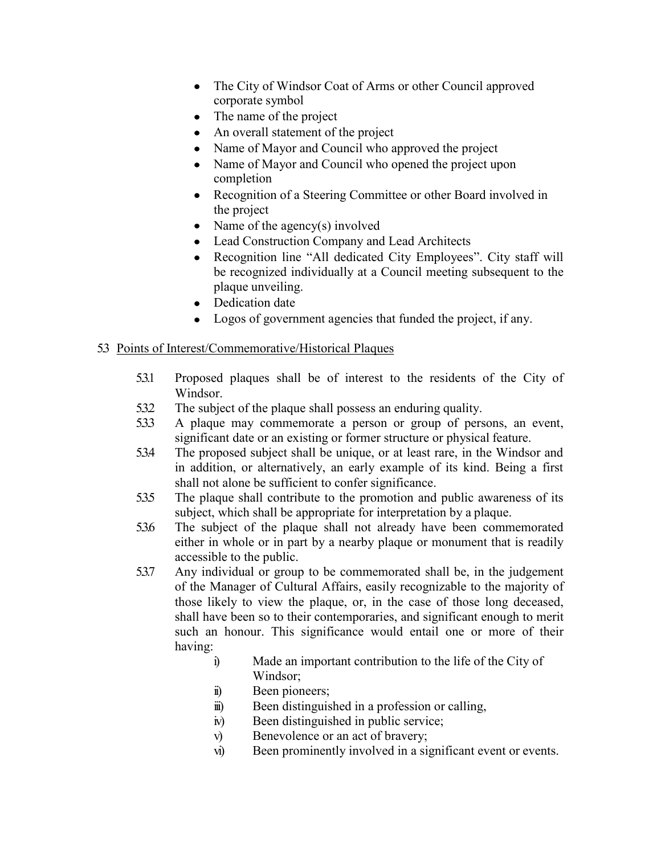- The City of Windsor Coat of Arms or other Council approved corporate symbol
- The name of the project
- An overall statement of the project
- Name of Mayor and Council who approved the project
- Name of Mayor and Council who opened the project upon completion
- Recognition of a Steering Committee or other Board involved in the project
- Name of the agency(s) involved
- Lead Construction Company and Lead Architects
- Recognition line "All dedicated City Employees". City staff will be recognized individually at a Council meeting subsequent to the plaque unveiling.
- Dedication date
- Logos of government agencies that funded the project, if any.

#### 5.3 Points of Interest/Commemorative/Historical Plaques

- 5.3.1 Proposed plaques shall be of interest to the residents of the City of Windsor.
- 5.3.2 The subject of the plaque shall possess an enduring quality.
- 5.3.3 A plaque may commemorate a person or group of persons, an event, significant date or an existing or former structure or physical feature.
- 5.3.4 The proposed subject shall be unique, or at least rare, in the Windsor and in addition, or alternatively, an early example of its kind. Being a first shall not alone be sufficient to confer significance.
- 5.3.5 The plaque shall contribute to the promotion and public awareness of its subject, which shall be appropriate for interpretation by a plaque.
- 5.3.6 The subject of the plaque shall not already have been commemorated either in whole or in part by a nearby plaque or monument that is readily accessible to the public.
- 5.3.7 Any individual or group to be commemorated shall be, in the judgement of the Manager of Cultural Affairs, easily recognizable to the majority of those likely to view the plaque, or, in the case of those long deceased, shall have been so to their contemporaries, and significant enough to merit such an honour. This significance would entail one or more of their having:
	- i) Made an important contribution to the life of the City of Windsor;
	- ii) Been pioneers;
	- iii) Been distinguished in a profession or calling,
	- iv) Been distinguished in public service;
	- v) Benevolence or an act of bravery;
	- vi) Been prominently involved in a significant event or events.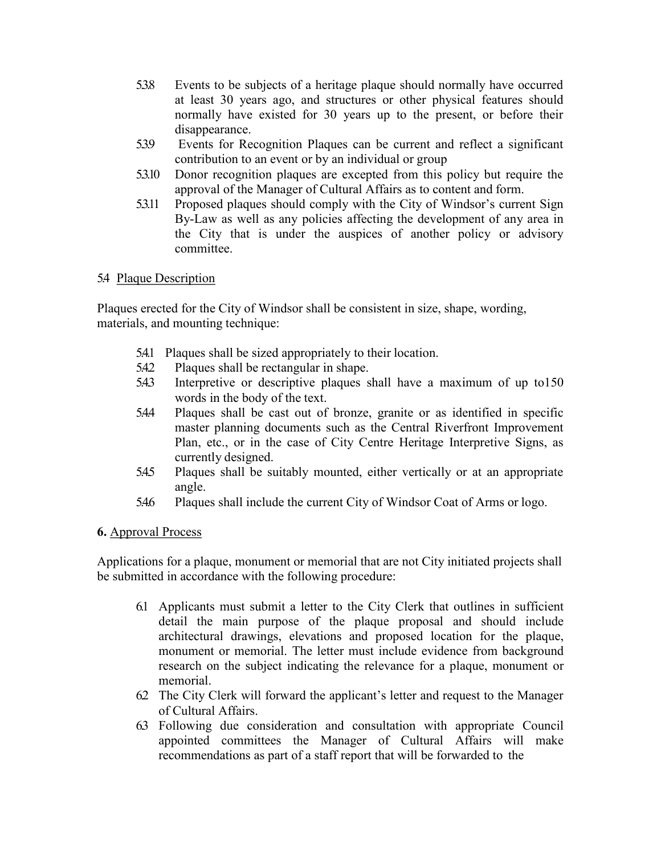- 5.3.8 Events to be subjects of a heritage plaque should normally have occurred at least 30 years ago, and structures or other physical features should normally have existed for 30 years up to the present, or before their disappearance.
- 5.3.9 Events for Recognition Plaques can be current and reflect a significant contribution to an event or by an individual or group
- 5.3.10 Donor recognition plaques are excepted from this policy but require the approval of the Manager of Cultural Affairs as to content and form.
- 5.3.11 Proposed plaques should comply with the City of Windsor's current Sign By-Law as well as any policies affecting the development of any area in the City that is under the auspices of another policy or advisory committee.

#### 5.4 Plaque Description

Plaques erected for the City of Windsor shall be consistent in size, shape, wording, materials, and mounting technique:

- 5.4.1 Plaques shall be sized appropriately to their location.
- 5.4.2 Plaques shall be rectangular in shape.
- 5.4.3 Interpretive or descriptive plaques shall have a maximum of up to150 words in the body of the text.
- 5.4.4 Plaques shall be cast out of bronze, granite or as identified in specific master planning documents such as the Central Riverfront Improvement Plan, etc., or in the case of City Centre Heritage Interpretive Signs, as currently designed.
- 5.4.5 Plaques shall be suitably mounted, either vertically or at an appropriate angle.
- 5.4.6 Plaques shall include the current City of Windsor Coat of Arms or logo.

#### **6.** Approval Process

Applications for a plaque, monument or memorial that are not City initiated projects shall be submitted in accordance with the following procedure:

- 6.1 Applicants must submit a letter to the City Clerk that outlines in sufficient detail the main purpose of the plaque proposal and should include architectural drawings, elevations and proposed location for the plaque, monument or memorial. The letter must include evidence from background research on the subject indicating the relevance for a plaque, monument or memorial.
- 6.2 The City Clerk will forward the applicant's letter and request to the Manager of Cultural Affairs.
- 6.3 Following due consideration and consultation with appropriate Council appointed committees the Manager of Cultural Affairs will make recommendations as part of a staff report that will be forwarded to the